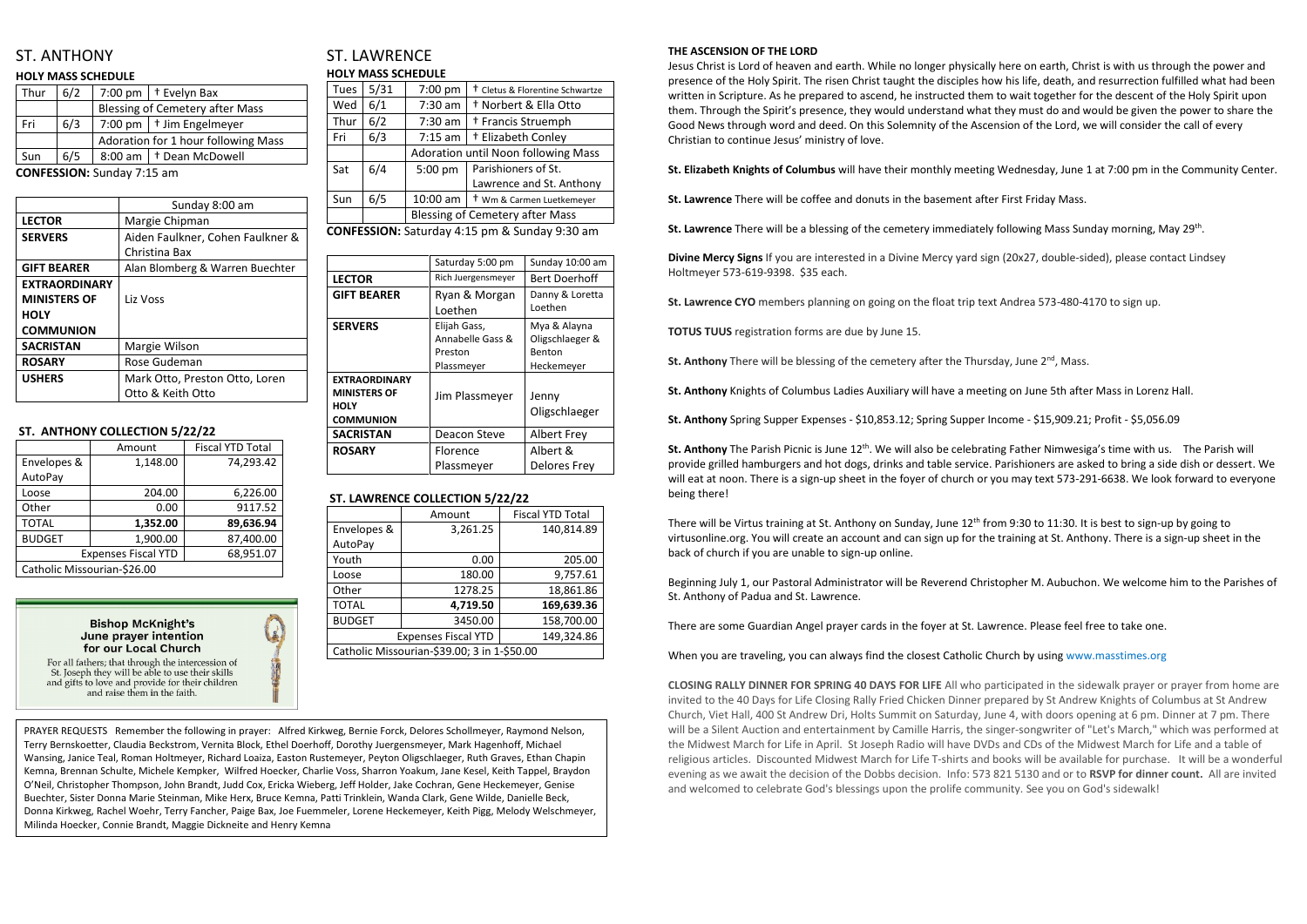# ST. ANTHONY

#### **HOLY MASS SCHEDULE**

| Thur | 6/2 |                                        | 7:00 pm   $\dagger$ Evelyn Bax     |
|------|-----|----------------------------------------|------------------------------------|
|      |     | <b>Blessing of Cemetery after Mass</b> |                                    |
| Fri  | 6/3 |                                        | 7:00 pm   $\dagger$ Jim Engelmeyer |
|      |     | Adoration for 1 hour following Mass    |                                    |
| Sun  | 6/5 |                                        | 8:00 am   + Dean McDowell          |
|      |     |                                        |                                    |

**CONFESSION:** Sunday 7:15 am

|                      | Sunday 8:00 am                   |  |
|----------------------|----------------------------------|--|
| <b>LECTOR</b>        | Margie Chipman                   |  |
| <b>SERVERS</b>       | Aiden Faulkner, Cohen Faulkner & |  |
|                      | Christina Bax                    |  |
| <b>GIFT BEARER</b>   | Alan Blomberg & Warren Buechter  |  |
| <b>EXTRAORDINARY</b> |                                  |  |
| <b>MINISTERS OF</b>  | Liz Voss                         |  |
| <b>HOLY</b>          |                                  |  |
| <b>COMMUNION</b>     |                                  |  |
| <b>SACRISTAN</b>     | Margie Wilson                    |  |
| <b>ROSARY</b>        | Rose Gudeman                     |  |
| <b>USHERS</b>        | Mark Otto, Preston Otto, Loren   |  |
|                      | Otto & Keith Otto                |  |
|                      |                                  |  |

### **ST. ANTHONY COLLECTION 5/22/22**

|                             | Amount                     | <b>Fiscal YTD Total</b> |  |
|-----------------------------|----------------------------|-------------------------|--|
| Envelopes &                 | 1,148.00                   | 74,293.42               |  |
| AutoPay                     |                            |                         |  |
| Loose                       | 204.00                     | 6,226.00                |  |
| Other                       | 0.00                       | 9117.52                 |  |
| <b>TOTAL</b>                | 1,352.00                   | 89,636.94               |  |
| <b>BUDGET</b>               | 1,900.00                   | 87,400.00               |  |
|                             | <b>Expenses Fiscal YTD</b> | 68,951.07               |  |
| Catholic Missourian-\$26.00 |                            |                         |  |

**Bishop McKnight's** June prayer intention for our Local Church



For all fathers; that through the intercession of St. Joseph they will be able to use their skills and gifts to love and provide for their children and raise them in the faith.

# ST. LAWRENCE **HOLY MASS SCHEDULE**

| Tues | 5/31 | 7:00 pm                                | <sup>†</sup> Cletus & Florentine Schwartze |
|------|------|----------------------------------------|--------------------------------------------|
| Wed  | 6/1  | 7:30 am                                | <sup>†</sup> Norbert & Ella Otto           |
| Thur | 6/2  | 7:30 am                                | <sup>†</sup> Francis Struemph              |
| Fri  | 6/3  | $7:15$ am                              | + Elizabeth Conley                         |
|      |      | Adoration until Noon following Mass    |                                            |
| Sat  | 6/4  | 5:00 pm                                | Parishioners of St.                        |
|      |      |                                        | Lawrence and St. Anthony                   |
| Sun  | 6/5  | 10:00 am                               | t Wm & Carmen Luetkemeyer                  |
|      |      | <b>Blessing of Cemetery after Mass</b> |                                            |
|      |      |                                        |                                            |

**CONFESSION:** Saturday 4:15 pm & Sunday 9:30 am

| Saturday 5:00 pm   | Sunday 10:00 am    |
|--------------------|--------------------|
| Rich Juergensmeyer | Bert Doerhoff      |
| Ryan & Morgan      | Danny & Loretta    |
| Loethen            | Loethen            |
| Elijah Gass,       | Mya & Alayna       |
| Annabelle Gass &   | Oligschlaeger &    |
| Preston            | Benton             |
| Plassmeyer         | Heckemeyer         |
|                    |                    |
| Jim Plassmeyer     | Jenny              |
|                    | Oligschlaeger      |
|                    |                    |
| Deacon Steve       | <b>Albert Frey</b> |
| Florence           | Albert &           |
| Plassmeyer         | Delores Frey       |
|                    |                    |

### **ST. LAWRENCE COLLECTION 5/22/22**

|                                             | Amount   | <b>Fiscal YTD Total</b> |
|---------------------------------------------|----------|-------------------------|
| Envelopes &                                 | 3,261.25 | 140,814.89              |
| AutoPay                                     |          |                         |
| Youth                                       | 0.00     | 205.00                  |
| Loose                                       | 180.00   | 9,757.61                |
| Other                                       | 1278.25  | 18,861.86               |
| <b>TOTAL</b>                                | 4,719.50 | 169,639.36              |
| <b>BUDGET</b>                               | 3450.00  | 158,700.00              |
| 149,324.86<br><b>Expenses Fiscal YTD</b>    |          |                         |
| Catholic Missourian-\$39.00; 3 in 1-\$50.00 |          |                         |

#### **THE ASCENSION OF THE LORD**

St. Anthony The Parish Picnic is June 12<sup>th</sup>. We will also be celebrating Father Nimwesiga's time with us. The Parish will provide grilled hamburgers and hot dogs, drinks and table service. Parishioners are asked to bring a side dish or dessert. We will eat at noon. There is a sign-up sheet in the foyer of church or you may text 573-291-6638. We look forward to everyone being there!

There will be Virtus training at St. Anthony on Sunday, June 12<sup>th</sup> from 9:30 to 11:30. It is best to sign-up by going to virtusonline.org. You will create an account and can sign up for the training at St. Anthony. There is a sign-up sheet in the back of church if you are unable to sign-up online.

Jesus Christ is Lord of heaven and earth. While no longer physically here on earth, Christ is with us through the power and presence of the Holy Spirit. The risen Christ taught the disciples how his life, death, and resurrection fulfilled what had been written in Scripture. As he prepared to ascend, he instructed them to wait together for the descent of the Holy Spirit upon them. Through the Spirit's presence, they would understand what they must do and would be given the power to share the Good News through word and deed. On this Solemnity of the Ascension of the Lord, we will consider the call of every Christian to continue Jesus' ministry of love.

**St. Elizabeth Knights of Columbus** will have their monthly meeting Wednesday, June 1 at 7:00 pm in the Community Center.

**St. Lawrence** There will be coffee and donuts in the basement after First Friday Mass.

St. Lawrence There will be a blessing of the cemetery immediately following Mass Sunday morning, May 29<sup>th</sup>.

**Divine Mercy Signs** If you are interested in a Divine Mercy yard sign (20x27, double-sided), please contact Lindsey Holtmeyer 573-619-9398. \$35 each.

**St. Lawrence CYO** members planning on going on the float trip text Andrea 573-480-4170 to sign up.

**TOTUS TUUS** registration forms are due by June 15.

**St. Anthony** There will be blessing of the cemetery after the Thursday, June 2<sup>nd</sup>, Mass.

**St. Anthony** Knights of Columbus Ladies Auxiliary will have a meeting on June 5th after Mass in Lorenz Hall.

**St. Anthony** Spring Supper Expenses - \$10,853.12; Spring Supper Income - \$15,909.21; Profit - \$5,056.09

Beginning July 1, our Pastoral Administrator will be Reverend Christopher M. Aubuchon. We welcome him to the Parishes of St. Anthony of Padua and St. Lawrence.

There are some Guardian Angel prayer cards in the foyer at St. Lawrence. Please feel free to take one.

When you are traveling, you can always find the closest Catholic Church by using www.masstimes.org

**CLOSING RALLY DINNER FOR SPRING 40 DAYS FOR LIFE** All who participated in the sidewalk prayer or prayer from home are invited to the 40 Days for Life Closing Rally Fried Chicken Dinner prepared by St Andrew Knights of Columbus at St Andrew Church, Viet Hall, 400 St Andrew Dri, Holts Summit on Saturday, June 4, with doors opening at 6 pm. Dinner at 7 pm. There will be a Silent Auction and entertainment by Camille Harris, the singer-songwriter of "Let's March," which was performed at the Midwest March for Life in April. St Joseph Radio will have DVDs and CDs of the Midwest March for Life and a table of religious articles. Discounted Midwest March for Life T-shirts and books will be available for purchase. It will be a wonderful evening as we await the decision of the Dobbs decision. Info: 573 821 5130 and or to **RSVP for dinner count.** All are invited and welcomed to celebrate God's blessings upon the prolife community. See you on God's sidewalk!

PRAYER REQUESTS Remember the following in prayer: Alfred Kirkweg, Bernie Forck, Delores Schollmeyer, Raymond Nelson, Terry Bernskoetter, Claudia Beckstrom, Vernita Block, Ethel Doerhoff, Dorothy Juergensmeyer, Mark Hagenhoff, Michael Wansing, Janice Teal, Roman Holtmeyer, Richard Loaiza, Easton Rustemeyer, Peyton Oligschlaeger, Ruth Graves, Ethan Chapin Kemna, Brennan Schulte, Michele Kempker, Wilfred Hoecker, Charlie Voss, Sharron Yoakum, Jane Kesel, Keith Tappel, Braydon O'Neil, Christopher Thompson, John Brandt, Judd Cox, Ericka Wieberg, Jeff Holder, Jake Cochran, Gene Heckemeyer, Genise Buechter, Sister Donna Marie Steinman, Mike Herx, Bruce Kemna, Patti Trinklein, Wanda Clark, Gene Wilde, Danielle Beck, Donna Kirkweg, Rachel Woehr, Terry Fancher, Paige Bax, Joe Fuemmeler, Lorene Heckemeyer, Keith Pigg, Melody Welschmeyer, Milinda Hoecker, Connie Brandt, Maggie Dickneite and Henry Kemna